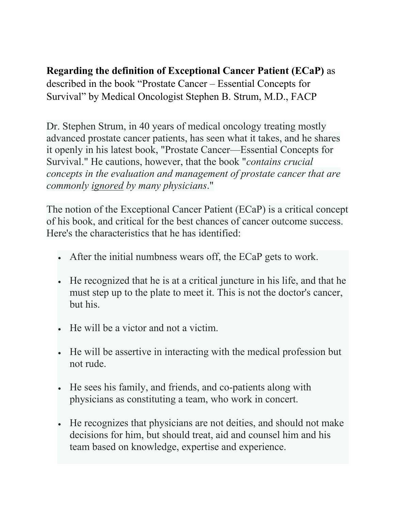## **Regarding the definition of Exceptional Cancer Patient (ECaP)** as

described in the book "Prostate Cancer – Essential Concepts for Survival" by Medical Oncologist Stephen B. Strum, M.D., FACP

Dr. Stephen Strum, in 40 years of medical oncology treating mostly advanced prostate cancer patients, has seen what it takes, and he shares it openly in his latest book, "Prostate Cancer—Essential Concepts for Survival." He cautions, however, that the book "*contains crucial concepts in the evaluation and management of prostate cancer that are commonly ignored by many physicians*."

The notion of the Exceptional Cancer Patient (ECaP) is a critical concept of his book, and critical for the best chances of cancer outcome success. Here's the characteristics that he has identified:

- After the initial numbness wears off, the ECaP gets to work.
- He recognized that he is at a critical juncture in his life, and that he must step up to the plate to meet it. This is not the doctor's cancer, but his.
- He will be a victor and not a victim.
- He will be assertive in interacting with the medical profession but not rude.
- He sees his family, and friends, and co-patients along with physicians as constituting a team, who work in concert.
- He recognizes that physicians are not deities, and should not make decisions for him, but should treat, aid and counsel him and his team based on knowledge, expertise and experience.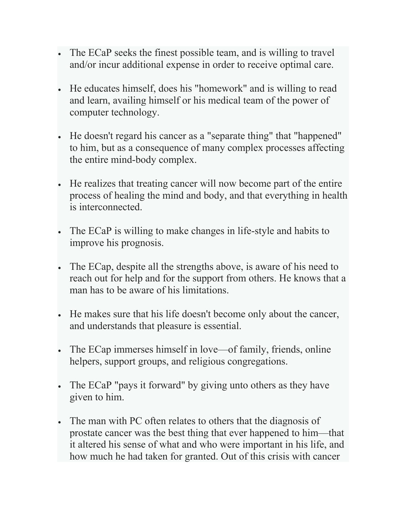- The ECaP seeks the finest possible team, and is willing to travel and/or incur additional expense in order to receive optimal care.
- He educates himself, does his "homework" and is willing to read and learn, availing himself or his medical team of the power of computer technology.
- He doesn't regard his cancer as a "separate thing" that "happened" to him, but as a consequence of many complex processes affecting the entire mind-body complex.
- He realizes that treating cancer will now become part of the entire process of healing the mind and body, and that everything in health is interconnected.
- The ECaP is willing to make changes in life-style and habits to improve his prognosis.
- The ECap, despite all the strengths above, is aware of his need to reach out for help and for the support from others. He knows that a man has to be aware of his limitations.
- He makes sure that his life doesn't become only about the cancer, and understands that pleasure is essential.
- The ECap immerses himself in love—of family, friends, online helpers, support groups, and religious congregations.
- The ECaP "pays it forward" by giving unto others as they have given to him.
- The man with PC often relates to others that the diagnosis of prostate cancer was the best thing that ever happened to him—that it altered his sense of what and who were important in his life, and how much he had taken for granted. Out of this crisis with cancer